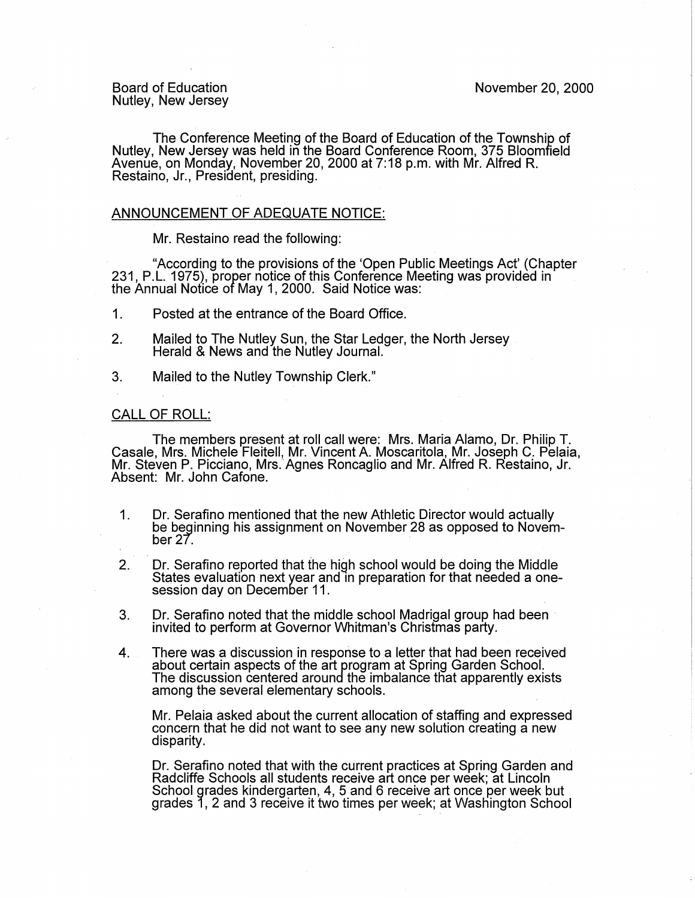Board of Education Nutley, New Jersey

The Conference Meeting of the Board of Education of the Township of Nutley, New Jersey was held in the Board Conference Room, 375 Bloomfield Avenue, on Monday, November 20, 2000 at 7:18 p.m. with Mr. Alfred R. Restaino, Jr., President, presiding.

## ANNOUNCEMENT OF ADEQUATE NOTICE:

Mr. Restaino read the following:

"According to the provisions of the 'Open Public Meetings Act' (Chapter 231, P.L. 1975), proper notice of this Conference Meeting was provided in the Annual Notice of May 1, 2000. Said Notice was: ·

- 1. Posted at the entrance of the Board Office:
- 2. Mailed to The Nutley Sun, the Star Ledger, the North Jersey Herald & News and the Nutley Journal.
- 3. Mailed to the Nutley Township Clerk."

## CALL OF ROLL:

The members present at roll call were: Mrs. Maria Alamo, Dr. Philip T. Casale, Mrs. Michele Fleitell, Mr. Vincent A Moscaritola, Mr. Joseph C. Pelaia, Mr. Steven P. Picciano, Mrs.·Agnes Roncaglio and Mr. Alfred R. Restaino, Jr. Absent: Mr. John Cafone.

- 1. Dr. Serafino mentioned that the new Athletic Director would actually be beginning his assignment on November 28 as opposed to November  $27.$
- 2. Dr. Serafino reported that the high school would be doing the Middle States evaluation next year and in preparation for that needed a onesession day on December 11 .
- 3. Dr. Serafino noted that the middle school Madrigal group had been invited to perform at Governor Whitman's Christmas party:
- 4. There was a discussion in response to a letter that had been received about certain aspects of the art program at Spring Garden School. The discussion centered around the imbalance tfiat apparently exists among the several elementary schools.

Mr. Pelaia asked about the current allocation of staffing and expressed concern that he did not want to see any new solution creating a new disparity.

Dr. Serafino noted that with the current practices at Spring Garden and Radcliffe Schools all students receive art once per week; at Lincoln School grades kindergarten, 4, 5 and 6 receive art once per week but grades 1, 2 and 3 receive it two times per week; at Washington School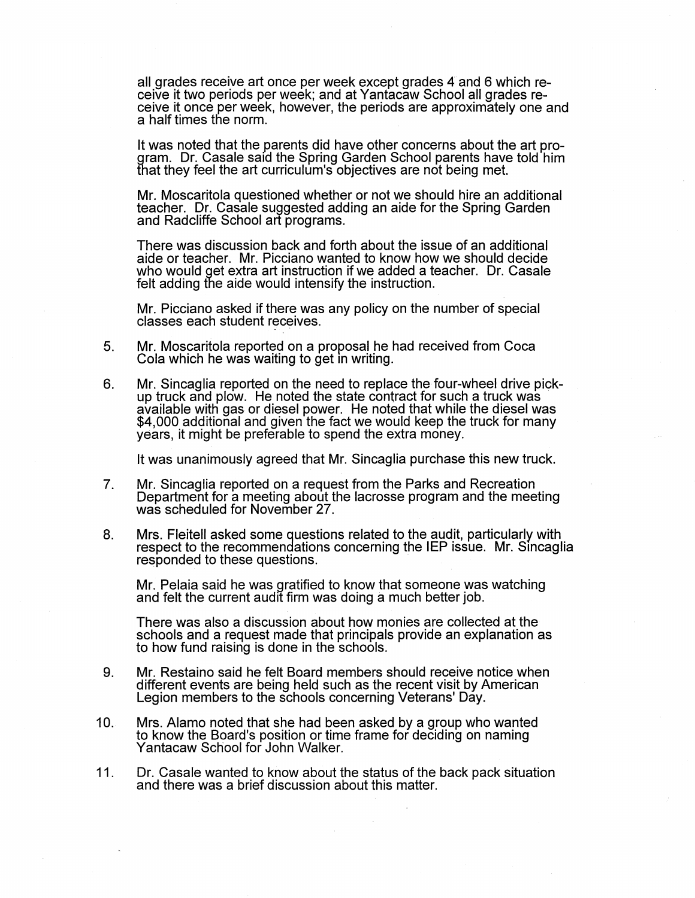all grades receive art once per week except grades 4 and 6 which receive it two periods per week; and at Yantacaw School all grades receive it once per week, however, the periods are approximately one and a half times the norm.

It was noted that the parents did have other concerns about the art program. Dr. Casale said the Spring Garden School parents have told him that they feel the art curriculum's objectives are not being met.

Mr. Moscaritola questioned whether or not we should hire an additional teacher. Dr. Casale suggested adding an aide for the Spring Garden and Radcliffe School art programs.

There was discussion back and forth about the issue of an additional aide or teacher. Mr. Picciano wanted to know how we should decide who would get extra art instruction if we added a teacher. Dr. Casale felt adding the aide would intensify the instruction.

Mr. Picciano asked if there was any policy on the number of special classes each student receives.

- 5. Mr. Moscaritola reported on a proposal he had received from Coca Cola which he was waiting to get in writing.
- 6. Mr. Sincaglia reported on the need to replace the four-wheel drive pick-<br>up truck and plow. He noted the state contract for such a truck was available with gas or diesel power. He noted that while the diesel was \$4,000 additional and given the fact we would keep the truck for many years, it might be preferable to spend the extra money.

It was unanimously agreed that Mr. Sincaglia purchase this new truck.

- 7. Mr. Sincaglia reported on a request from the Parks and Recreation Department for a meeting about the lacrosse program and the meeting was scheduled for November 27.
- 8. Mrs. Fleitell asked some questions related to the audit, particularly with respect to the recommendations concerning the IEP issue. Mr. Sincaglia responded to these questions.

Mr. Pelaia said he was gratified to know that someone was watching and felt the current audit firm was doing a much better job.

There was also a discussion about how monies are collected at the schools and a request made that principals provide an explanation as to how fund raising is done in the schools.

- 9. Mr. Restaino said he felt Board members should receive notice when different events are being held such as the recent visit by American Legion members to the schools concerning Veterans' Day.
- 10. Mrs. Alamo noted that she had been asked by a group who wanted to know the Board's position or time frame for deciding on naming Yantacaw School for John Walker.
- 11. Dr. Casale wanted to know about the status of the back pack situation and there was a brief discussion about this matter.